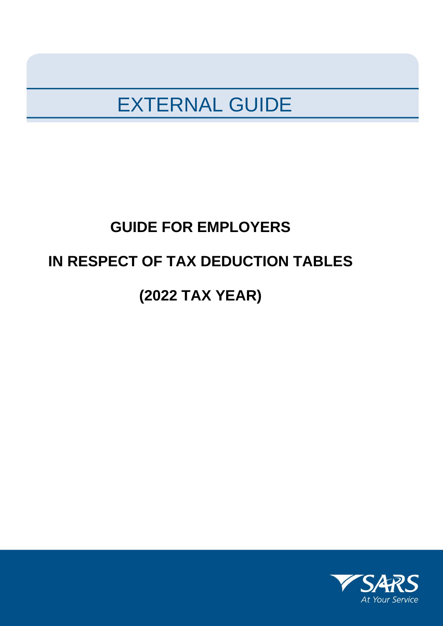## EXTERNAL GUIDE

# **GUIDE FOR EMPLOYERS IN RESPECT OF TAX DEDUCTION TABLES (2022 TAX YEAR)**

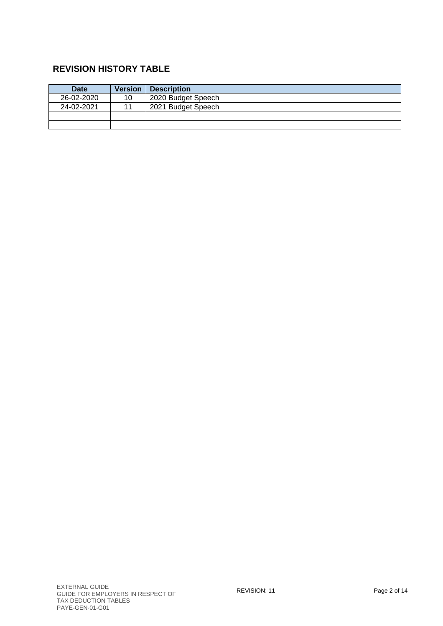## **REVISION HISTORY TABLE**

| <b>Date</b> | <b>Version</b> | <b>Description</b> |
|-------------|----------------|--------------------|
| 26-02-2020  | 10             | 2020 Budget Speech |
| 24-02-2021  |                | 2021 Budget Speech |
|             |                |                    |
|             |                |                    |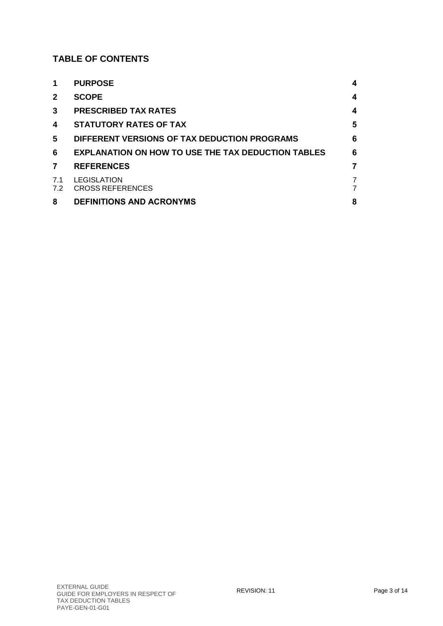## **TABLE OF CONTENTS**

| 1              | <b>PURPOSE</b>                                            | 4      |
|----------------|-----------------------------------------------------------|--------|
| $\mathbf{2}$   | <b>SCOPE</b>                                              | 4      |
| 3              | <b>PRESCRIBED TAX RATES</b>                               | 4      |
| 4              | <b>STATUTORY RATES OF TAX</b>                             | 5      |
| 5              | DIFFERENT VERSIONS OF TAX DEDUCTION PROGRAMS              | 6      |
| 6              | <b>EXPLANATION ON HOW TO USE THE TAX DEDUCTION TABLES</b> | 6      |
| $\overline{7}$ | <b>REFERENCES</b>                                         | 7      |
| 7.1<br>7.2     | LEGISLATION<br><b>CROSS REFERENCES</b>                    | 7<br>7 |
| 8              | <b>DEFINITIONS AND ACRONYMS</b>                           | 8      |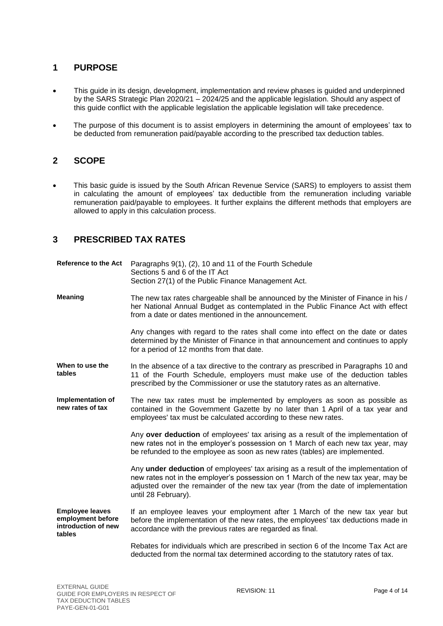## <span id="page-3-0"></span>**1 PURPOSE**

- This guide in its design, development, implementation and review phases is guided and underpinned by the SARS Strategic Plan 2020/21 – 2024/25 and the applicable legislation. Should any aspect of this guide conflict with the applicable legislation the applicable legislation will take precedence.
- The purpose of this document is to assist employers in determining the amount of employees' tax to be deducted from remuneration paid/payable according to the prescribed tax deduction tables.

## <span id="page-3-1"></span>**2 SCOPE**

 This basic guide is issued by the South African Revenue Service (SARS) to employers to assist them in calculating the amount of employees' tax deductible from the remuneration including variable remuneration paid/payable to employees. It further explains the different methods that employers are allowed to apply in this calculation process.

## <span id="page-3-2"></span>**3 PRESCRIBED TAX RATES**

| <b>Reference to the Act</b>                                                  | Paragraphs 9(1), (2), 10 and 11 of the Fourth Schedule<br>Sections 5 and 6 of the IT Act<br>Section 27(1) of the Public Finance Management Act.                                                                                                                                    |
|------------------------------------------------------------------------------|------------------------------------------------------------------------------------------------------------------------------------------------------------------------------------------------------------------------------------------------------------------------------------|
| <b>Meaning</b>                                                               | The new tax rates chargeable shall be announced by the Minister of Finance in his /<br>her National Annual Budget as contemplated in the Public Finance Act with effect<br>from a date or dates mentioned in the announcement.                                                     |
|                                                                              | Any changes with regard to the rates shall come into effect on the date or dates<br>determined by the Minister of Finance in that announcement and continues to apply<br>for a period of 12 months from that date.                                                                 |
| When to use the<br>tables                                                    | In the absence of a tax directive to the contrary as prescribed in Paragraphs 10 and<br>11 of the Fourth Schedule, employers must make use of the deduction tables<br>prescribed by the Commissioner or use the statutory rates as an alternative.                                 |
| Implementation of<br>new rates of tax                                        | The new tax rates must be implemented by employers as soon as possible as<br>contained in the Government Gazette by no later than 1 April of a tax year and<br>employees' tax must be calculated according to these new rates.                                                     |
|                                                                              | Any over deduction of employees' tax arising as a result of the implementation of<br>new rates not in the employer's possession on 1 March of each new tax year, may<br>be refunded to the employee as soon as new rates (tables) are implemented.                                 |
|                                                                              | Any under deduction of employees' tax arising as a result of the implementation of<br>new rates not in the employer's possession on 1 March of the new tax year, may be<br>adjusted over the remainder of the new tax year (from the date of implementation<br>until 28 February). |
| <b>Employee leaves</b><br>employment before<br>introduction of new<br>tables | If an employee leaves your employment after 1 March of the new tax year but<br>before the implementation of the new rates, the employees' tax deductions made in<br>accordance with the previous rates are regarded as final.                                                      |
|                                                                              | Rebates for individuals which are prescribed in section 6 of the Income Tax Act are<br>deducted from the normal tax determined according to the statutory rates of tax.                                                                                                            |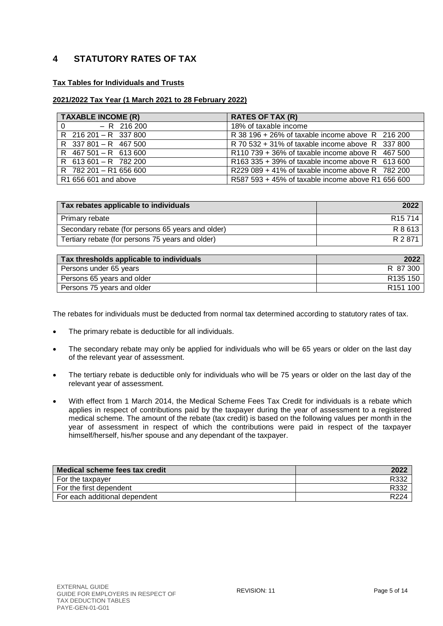## <span id="page-4-0"></span>**4 STATUTORY RATES OF TAX**

#### **Tax Tables for Individuals and Trusts**

#### **2021/2022 Tax Year (1 March 2021 to 28 February 2022)**

| <b>TAXABLE INCOME (R)</b> | <b>RATES OF TAX (R)</b>                           |
|---------------------------|---------------------------------------------------|
| $0 - R$ 216 200           | 18% of taxable income                             |
| R 216 201 - R 337 800     | R 38 196 + 26% of taxable income above R 216 200  |
| R 337 801 - R 467 500     | R 70 532 + 31% of taxable income above R 337 800  |
| R 467 501 - R 613 600     | R110 739 + 36% of taxable income above R 467 500  |
| $R$ 613 601 - R 782 200   | R163 335 + 39% of taxable income above R 613 600  |
| R 782 201 - R1 656 600    | R229 089 + 41% of taxable income above R 782 200  |
| R1 656 601 and above      | R587 593 + 45% of taxable income above R1 656 600 |

| Tax rebates applicable to individuals             | 2022                |
|---------------------------------------------------|---------------------|
| Primary rebate                                    | R <sub>15</sub> 714 |
| Secondary rebate (for persons 65 years and older) | R 8 613             |
| Tertiary rebate (for persons 75 years and older)  | R 2 871             |

| Tax thresholds applicable to individuals | 2022                 |
|------------------------------------------|----------------------|
| Persons under 65 years                   | R 87 300             |
| Persons 65 years and older               | R <sub>135</sub> 150 |
| Persons 75 years and older               | R <sub>151</sub> 100 |

The rebates for individuals must be deducted from normal tax determined according to statutory rates of tax.

- The primary rebate is deductible for all individuals.
- The secondary rebate may only be applied for individuals who will be 65 years or older on the last day of the relevant year of assessment.
- The tertiary rebate is deductible only for individuals who will be 75 years or older on the last day of the relevant year of assessment.
- With effect from 1 March 2014, the Medical Scheme Fees Tax Credit for individuals is a rebate which applies in respect of contributions paid by the taxpayer during the year of assessment to a registered medical scheme. The amount of the rebate (tax credit) is based on the following values per month in the year of assessment in respect of which the contributions were paid in respect of the taxpayer himself/herself, his/her spouse and any dependant of the taxpayer.

| Medical scheme fees tax credit | 2022             |
|--------------------------------|------------------|
| For the taxpayer               | R332             |
| For the first dependent        | R332             |
| For each additional dependent  | R <sub>224</sub> |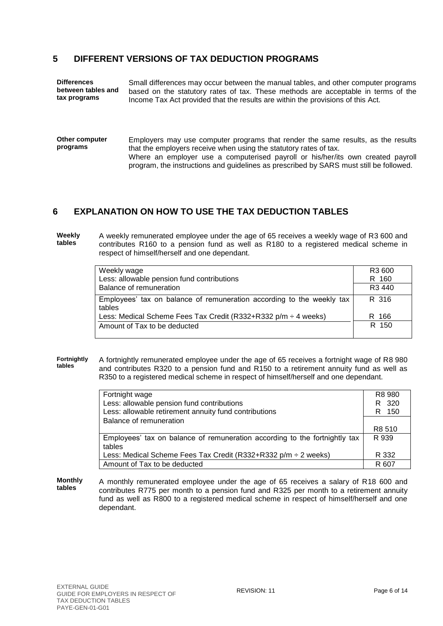## <span id="page-5-0"></span>**5 DIFFERENT VERSIONS OF TAX DEDUCTION PROGRAMS**

| <b>Differences</b> | Small differences may occur between the manual tables, and other computer programs |
|--------------------|------------------------------------------------------------------------------------|
| between tables and | based on the statutory rates of tax. These methods are acceptable in terms of the  |
| tax programs       | Income Tax Act provided that the results are within the provisions of this Act.    |

**Other computer programs** Employers may use computer programs that render the same results, as the results that the employers receive when using the statutory rates of tax. Where an employer use a computerised payroll or his/her/its own created payroll program, the instructions and guidelines as prescribed by SARS must still be followed.

## <span id="page-5-1"></span>**6 EXPLANATION ON HOW TO USE THE TAX DEDUCTION TABLES**

**Weekly tables** A weekly remunerated employee under the age of 65 receives a weekly wage of R3 600 and contributes R160 to a pension fund as well as R180 to a registered medical scheme in respect of himself/herself and one dependant.

| Weekly wage                                                                     | R <sub>3</sub> 600 |
|---------------------------------------------------------------------------------|--------------------|
| Less: allowable pension fund contributions                                      | R 160              |
|                                                                                 |                    |
| Balance of remuneration                                                         | R <sub>3</sub> 440 |
| Employees' tax on balance of remuneration according to the weekly tax<br>tables | R 316              |
| Less: Medical Scheme Fees Tax Credit (R332+R332 p/m $\div$ 4 weeks)             | R 166              |
| Amount of Tax to be deducted                                                    | R 150              |

**Fortnightly tables** A fortnightly remunerated employee under the age of 65 receives a fortnight wage of R8 980 and contributes R320 to a pension fund and R150 to a retirement annuity fund as well as R350 to a registered medical scheme in respect of himself/herself and one dependant.

| Fortnight wage                                                                       | R8 980      |
|--------------------------------------------------------------------------------------|-------------|
| Less: allowable pension fund contributions                                           | R 320       |
| Less: allowable retirement annuity fund contributions                                | - 150<br>R. |
| Balance of remuneration                                                              |             |
|                                                                                      | R8 510      |
| Employees' tax on balance of remuneration according to the fortnightly tax<br>tables | R 939       |
| Less: Medical Scheme Fees Tax Credit (R332+R332 p/m $\div$ 2 weeks)                  | R 332       |
| Amount of Tax to be deducted                                                         | R 607       |

**Monthly tables** A monthly remunerated employee under the age of 65 receives a salary of R18 600 and contributes R775 per month to a pension fund and R325 per month to a retirement annuity fund as well as R800 to a registered medical scheme in respect of himself/herself and one dependant.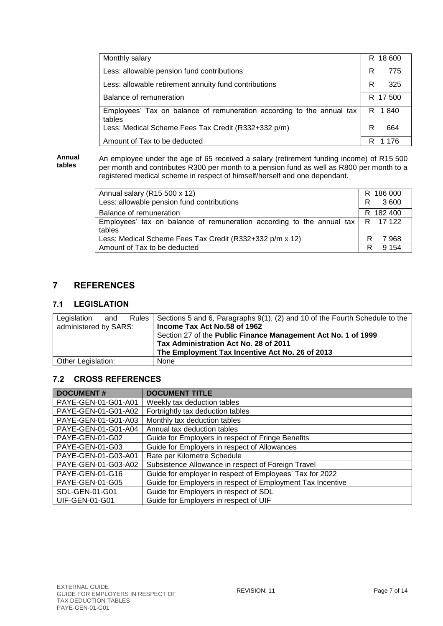| Monthly salary                                                                  | R 18 600 |
|---------------------------------------------------------------------------------|----------|
| Less: allowable pension fund contributions                                      | R<br>775 |
| Less: allowable retirement annuity fund contributions                           | R<br>325 |
| Balance of remuneration                                                         | R 17 500 |
| Employees' Tax on balance of remuneration according to the annual tax<br>tables | R 1840   |
| Less: Medical Scheme Fees Tax Credit (R332+332 p/m)                             | R<br>664 |
| Amount of Tax to be deducted                                                    | R<br>176 |

**Annual tables**

An employee under the age of 65 received a salary (retirement funding income) of R15 500 per month and contributes R300 per month to a pension fund as well as R800 per month to a registered medical scheme in respect of himself/herself and one dependant.

| Annual salary (R15 500 x 12)                                                                        | R 186 000    |
|-----------------------------------------------------------------------------------------------------|--------------|
| Less: allowable pension fund contributions                                                          | R.<br>3 600  |
| Balance of remuneration                                                                             | R 182 400    |
| Employees' tax on balance of remuneration according to the annual tax $\mid R \mid 17122$<br>tables |              |
| Less: Medical Scheme Fees Tax Credit (R332+332 p/m x 12)                                            | 7968<br>R    |
| Amount of Tax to be deducted                                                                        | 9 1 5 4<br>R |

## <span id="page-6-0"></span>**7 REFERENCES**

## <span id="page-6-1"></span>**7.1 LEGISLATION**

| Legislation           | and | Rules   Sections 5 and 6, Paragraphs 9(1), (2) and 10 of the Fourth Schedule to the |
|-----------------------|-----|-------------------------------------------------------------------------------------|
| administered by SARS: |     | Income Tax Act No.58 of 1962                                                        |
|                       |     | Section 27 of the Public Finance Management Act No. 1 of 1999                       |
|                       |     | Tax Administration Act No. 28 of 2011                                               |
|                       |     | The Employment Tax Incentive Act No. 26 of 2013                                     |
| Other Legislation:    |     | None                                                                                |

## <span id="page-6-2"></span>**7.2 CROSS REFERENCES**

| <b>DOCUMENT#</b>      | <b>DOCUMENT TITLE</b>                                      |
|-----------------------|------------------------------------------------------------|
| PAYE-GEN-01-G01-A01   | Weekly tax deduction tables                                |
| PAYE-GEN-01-G01-A02   | Fortnightly tax deduction tables                           |
| PAYE-GEN-01-G01-A03   | Monthly tax deduction tables                               |
| PAYE-GEN-01-G01-A04   | Annual tax deduction tables                                |
| PAYE-GEN-01-G02       | Guide for Employers in respect of Fringe Benefits          |
| PAYE-GEN-01-G03       | Guide for Employers in respect of Allowances               |
| PAYE-GEN-01-G03-A01   | Rate per Kilometre Schedule                                |
| PAYE-GEN-01-G03-A02   | Subsistence Allowance in respect of Foreign Travel         |
| PAYE-GEN-01-G16       | Guide for employer in respect of Employees' Tax for 2022   |
| PAYE-GEN-01-G05       | Guide for Employers in respect of Employment Tax Incentive |
| SDL-GEN-01-G01        | Guide for Employers in respect of SDL                      |
| <b>UIF-GEN-01-G01</b> | Guide for Employers in respect of UIF                      |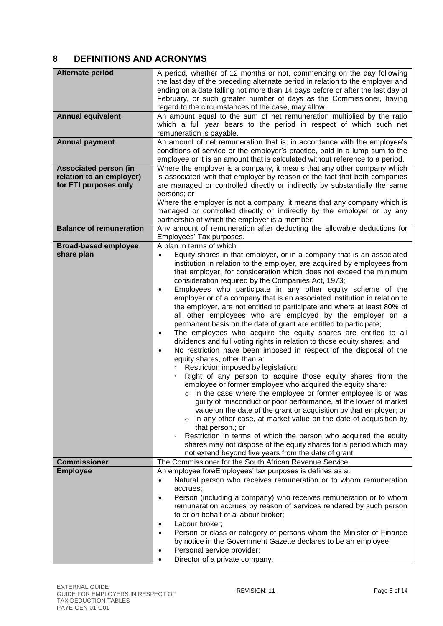## <span id="page-7-0"></span>**8 DEFINITIONS AND ACRONYMS**

| Alternate period<br><b>Annual equivalent</b><br><b>Annual payment</b><br><b>Associated person (in</b><br>relation to an employer)<br>for ETI purposes only | A period, whether of 12 months or not, commencing on the day following<br>the last day of the preceding alternate period in relation to the employer and<br>ending on a date falling not more than 14 days before or after the last day of<br>February, or such greater number of days as the Commissioner, having<br>regard to the circumstances of the case, may allow.<br>An amount equal to the sum of net remuneration multiplied by the ratio<br>which a full year bears to the period in respect of which such net<br>remuneration is payable.<br>An amount of net remuneration that is, in accordance with the employee's<br>conditions of service or the employer's practice, paid in a lump sum to the<br>employee or it is an amount that is calculated without reference to a period.<br>Where the employer is a company, it means that any other company which<br>is associated with that employer by reason of the fact that both companies<br>are managed or controlled directly or indirectly by substantially the same                                                                                                                                                                                                                                                                                                                                                                                                                                                                                                                                                                                                                                      |
|------------------------------------------------------------------------------------------------------------------------------------------------------------|------------------------------------------------------------------------------------------------------------------------------------------------------------------------------------------------------------------------------------------------------------------------------------------------------------------------------------------------------------------------------------------------------------------------------------------------------------------------------------------------------------------------------------------------------------------------------------------------------------------------------------------------------------------------------------------------------------------------------------------------------------------------------------------------------------------------------------------------------------------------------------------------------------------------------------------------------------------------------------------------------------------------------------------------------------------------------------------------------------------------------------------------------------------------------------------------------------------------------------------------------------------------------------------------------------------------------------------------------------------------------------------------------------------------------------------------------------------------------------------------------------------------------------------------------------------------------------------------------------------------------------------------------------------------------|
|                                                                                                                                                            | persons; or<br>Where the employer is not a company, it means that any company which is<br>managed or controlled directly or indirectly by the employer or by any                                                                                                                                                                                                                                                                                                                                                                                                                                                                                                                                                                                                                                                                                                                                                                                                                                                                                                                                                                                                                                                                                                                                                                                                                                                                                                                                                                                                                                                                                                             |
|                                                                                                                                                            | partnership of which the employer is a member;                                                                                                                                                                                                                                                                                                                                                                                                                                                                                                                                                                                                                                                                                                                                                                                                                                                                                                                                                                                                                                                                                                                                                                                                                                                                                                                                                                                                                                                                                                                                                                                                                               |
| <b>Balance of remuneration</b>                                                                                                                             | Any amount of remuneration after deducting the allowable deductions for                                                                                                                                                                                                                                                                                                                                                                                                                                                                                                                                                                                                                                                                                                                                                                                                                                                                                                                                                                                                                                                                                                                                                                                                                                                                                                                                                                                                                                                                                                                                                                                                      |
|                                                                                                                                                            | Employees' Tax purposes.                                                                                                                                                                                                                                                                                                                                                                                                                                                                                                                                                                                                                                                                                                                                                                                                                                                                                                                                                                                                                                                                                                                                                                                                                                                                                                                                                                                                                                                                                                                                                                                                                                                     |
| <b>Broad-based employee</b><br>share plan<br><b>Commissioner</b>                                                                                           | A plan in terms of which:<br>Equity shares in that employer, or in a company that is an associated<br>$\bullet$<br>institution in relation to the employer, are acquired by employees from<br>that employer, for consideration which does not exceed the minimum<br>consideration required by the Companies Act, 1973;<br>Employees who participate in any other equity scheme of the<br>$\bullet$<br>employer or of a company that is an associated institution in relation to<br>the employer, are not entitled to participate and where at least 80% of<br>all other employees who are employed by the employer on a<br>permanent basis on the date of grant are entitled to participate;<br>The employees who acquire the equity shares are entitled to all<br>$\bullet$<br>dividends and full voting rights in relation to those equity shares; and<br>No restriction have been imposed in respect of the disposal of the<br>$\bullet$<br>equity shares, other than a:<br>Restriction imposed by legislation;<br>Right of any person to acquire those equity shares from the<br>employee or former employee who acquired the equity share:<br>$\circ$ in the case where the employee or former employee is or was<br>guilty of misconduct or poor performance, at the lower of market<br>value on the date of the grant or acquisition by that employer; or<br>$\circ$ in any other case, at market value on the date of acquisition by<br>that person.; or<br>Restriction in terms of which the person who acquired the equity<br>$\Box$<br>shares may not dispose of the equity shares for a period which may<br>not extend beyond five years from the date of grant. |
|                                                                                                                                                            | The Commissioner for the South African Revenue Service.                                                                                                                                                                                                                                                                                                                                                                                                                                                                                                                                                                                                                                                                                                                                                                                                                                                                                                                                                                                                                                                                                                                                                                                                                                                                                                                                                                                                                                                                                                                                                                                                                      |
| <b>Employee</b>                                                                                                                                            | An employee foreEmployees' tax purposes is defines as a:<br>Natural person who receives remuneration or to whom remuneration<br>$\bullet$<br>accrues;<br>Person (including a company) who receives remuneration or to whom<br>$\bullet$<br>remuneration accrues by reason of services rendered by such person<br>to or on behalf of a labour broker;<br>Labour broker;<br>$\bullet$<br>Person or class or category of persons whom the Minister of Finance<br>$\bullet$<br>by notice in the Government Gazette declares to be an employee;<br>Personal service provider;<br>$\bullet$<br>Director of a private company.<br>$\bullet$                                                                                                                                                                                                                                                                                                                                                                                                                                                                                                                                                                                                                                                                                                                                                                                                                                                                                                                                                                                                                                         |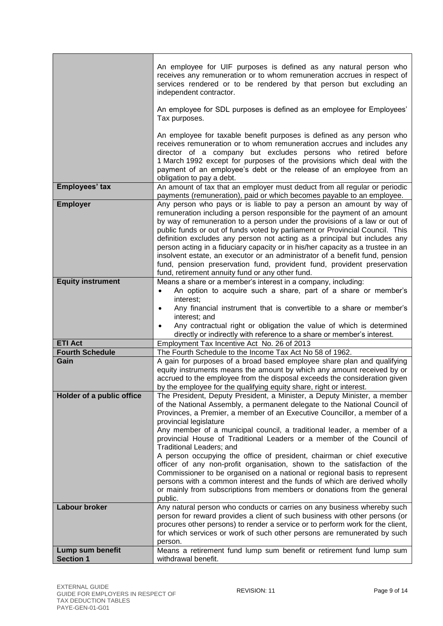|                           | An employee for UIF purposes is defined as any natural person who<br>receives any remuneration or to whom remuneration accrues in respect of<br>services rendered or to be rendered by that person but excluding an<br>independent contractor.                                                                                                                                                                                                                                                                                                                                                                                                                                                                                                                                                                                                   |
|---------------------------|--------------------------------------------------------------------------------------------------------------------------------------------------------------------------------------------------------------------------------------------------------------------------------------------------------------------------------------------------------------------------------------------------------------------------------------------------------------------------------------------------------------------------------------------------------------------------------------------------------------------------------------------------------------------------------------------------------------------------------------------------------------------------------------------------------------------------------------------------|
|                           | An employee for SDL purposes is defined as an employee for Employees'<br>Tax purposes.                                                                                                                                                                                                                                                                                                                                                                                                                                                                                                                                                                                                                                                                                                                                                           |
|                           | An employee for taxable benefit purposes is defined as any person who<br>receives remuneration or to whom remuneration accrues and includes any<br>director of a company but excludes persons who retired before<br>1 March 1992 except for purposes of the provisions which deal with the<br>payment of an employee's debt or the release of an employee from an<br>obligation to pay a debt.                                                                                                                                                                                                                                                                                                                                                                                                                                                   |
| Employees' tax            | An amount of tax that an employer must deduct from all regular or periodic<br>payments (remuneration), paid or which becomes payable to an employee.                                                                                                                                                                                                                                                                                                                                                                                                                                                                                                                                                                                                                                                                                             |
| <b>Employer</b>           | Any person who pays or is liable to pay a person an amount by way of<br>remuneration including a person responsible for the payment of an amount<br>by way of remuneration to a person under the provisions of a law or out of<br>public funds or out of funds voted by parliament or Provincial Council. This<br>definition excludes any person not acting as a principal but includes any<br>person acting in a fiduciary capacity or in his/her capacity as a trustee in an<br>insolvent estate, an executor or an administrator of a benefit fund, pension<br>fund, pension preservation fund, provident fund, provident preservation<br>fund, retirement annuity fund or any other fund.                                                                                                                                                    |
| <b>Equity instrument</b>  | Means a share or a member's interest in a company, including:                                                                                                                                                                                                                                                                                                                                                                                                                                                                                                                                                                                                                                                                                                                                                                                    |
|                           | An option to acquire such a share, part of a share or member's<br>interest;<br>Any financial instrument that is convertible to a share or member's<br>$\bullet$<br>interest; and<br>Any contractual right or obligation the value of which is determined<br>directly or indirectly with reference to a share or member's interest.                                                                                                                                                                                                                                                                                                                                                                                                                                                                                                               |
| <b>ETI Act</b>            | Employment Tax Incentive Act No. 26 of 2013                                                                                                                                                                                                                                                                                                                                                                                                                                                                                                                                                                                                                                                                                                                                                                                                      |
| <b>Fourth Schedule</b>    | The Fourth Schedule to the Income Tax Act No 58 of 1962.                                                                                                                                                                                                                                                                                                                                                                                                                                                                                                                                                                                                                                                                                                                                                                                         |
| Gain                      | A gain for purposes of a broad based employee share plan and qualifying<br>equity instruments means the amount by which any amount received by or<br>accrued to the employee from the disposal exceeds the consideration given<br>by the employee for the qualifying equity share, right or interest.                                                                                                                                                                                                                                                                                                                                                                                                                                                                                                                                            |
| Holder of a public office | The President, Deputy President, a Minister, a Deputy Minister, a member<br>of the National Assembly, a permanent delegate to the National Council of<br>Provinces, a Premier, a member of an Executive Councillor, a member of a<br>provincial legislature<br>Any member of a municipal council, a traditional leader, a member of a<br>provincial House of Traditional Leaders or a member of the Council of<br>Traditional Leaders; and<br>A person occupying the office of president, chairman or chief executive<br>officer of any non-profit organisation, shown to the satisfaction of the<br>Commissioner to be organised on a national or regional basis to represent<br>persons with a common interest and the funds of which are derived wholly<br>or mainly from subscriptions from members or donations from the general<br>public. |
| Labour broker             | Any natural person who conducts or carries on any business whereby such<br>person for reward provides a client of such business with other persons (or<br>procures other persons) to render a service or to perform work for the client,<br>for which services or work of such other persons are remunerated by such<br>person.                                                                                                                                                                                                                                                                                                                                                                                                                                                                                                                  |
| Lump sum benefit          | Means a retirement fund lump sum benefit or retirement fund lump sum                                                                                                                                                                                                                                                                                                                                                                                                                                                                                                                                                                                                                                                                                                                                                                             |
| <b>Section 1</b>          | withdrawal benefit.                                                                                                                                                                                                                                                                                                                                                                                                                                                                                                                                                                                                                                                                                                                                                                                                                              |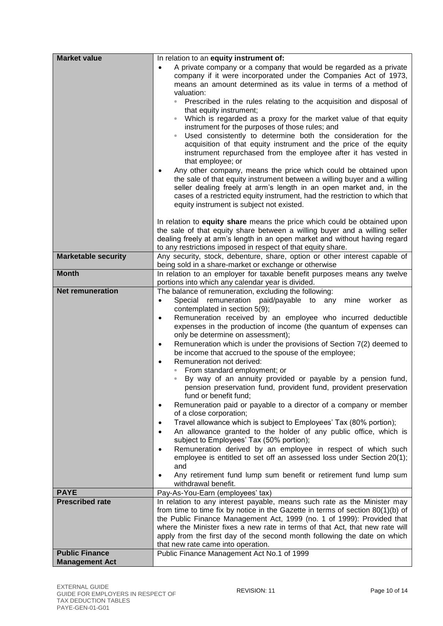| <b>Market value</b>                   | In relation to an equity instrument of:                                                                                                    |
|---------------------------------------|--------------------------------------------------------------------------------------------------------------------------------------------|
|                                       | A private company or a company that would be regarded as a private<br>$\bullet$                                                            |
|                                       | company if it were incorporated under the Companies Act of 1973,                                                                           |
|                                       | means an amount determined as its value in terms of a method of                                                                            |
|                                       | valuation:<br>Prescribed in the rules relating to the acquisition and disposal of<br>$\Box$                                                |
|                                       | that equity instrument;                                                                                                                    |
|                                       | Which is regarded as a proxy for the market value of that equity                                                                           |
|                                       | instrument for the purposes of those rules; and                                                                                            |
|                                       | Used consistently to determine both the consideration for the<br>$\Box$                                                                    |
|                                       | acquisition of that equity instrument and the price of the equity<br>instrument repurchased from the employee after it has vested in       |
|                                       | that employee; or                                                                                                                          |
|                                       | Any other company, means the price which could be obtained upon<br>٠                                                                       |
|                                       | the sale of that equity instrument between a willing buyer and a willing                                                                   |
|                                       | seller dealing freely at arm's length in an open market and, in the                                                                        |
|                                       | cases of a restricted equity instrument, had the restriction to which that                                                                 |
|                                       | equity instrument is subject not existed.                                                                                                  |
|                                       | In relation to equity share means the price which could be obtained upon                                                                   |
|                                       | the sale of that equity share between a willing buyer and a willing seller                                                                 |
|                                       | dealing freely at arm's length in an open market and without having regard                                                                 |
|                                       | to any restrictions imposed in respect of that equity share.                                                                               |
| <b>Marketable security</b>            | Any security, stock, debenture, share, option or other interest capable of<br>being sold in a share-market or exchange or otherwise        |
| <b>Month</b>                          | In relation to an employer for taxable benefit purposes means any twelve                                                                   |
|                                       | portions into which any calendar year is divided.                                                                                          |
| <b>Net remuneration</b>               | The balance of remuneration, excluding the following:                                                                                      |
|                                       | Special remuneration paid/payable to any<br>mine<br>worker<br>$\bullet$<br>as                                                              |
|                                       | contemplated in section 5(9);                                                                                                              |
|                                       | Remuneration received by an employee who incurred deductible<br>$\bullet$                                                                  |
|                                       | expenses in the production of income (the quantum of expenses can<br>only be determine on assessment);                                     |
|                                       | Remuneration which is under the provisions of Section 7(2) deemed to<br>$\bullet$                                                          |
|                                       | be income that accrued to the spouse of the employee;                                                                                      |
|                                       | Remuneration not derived:<br>$\bullet$                                                                                                     |
|                                       | From standard employment; or                                                                                                               |
|                                       | By way of an annuity provided or payable by a pension fund,<br>$\Box$<br>pension preservation fund, provident fund, provident preservation |
|                                       | fund or benefit fund;                                                                                                                      |
|                                       | Remuneration paid or payable to a director of a company or member<br>$\bullet$                                                             |
|                                       | of a close corporation;                                                                                                                    |
|                                       | Travel allowance which is subject to Employees' Tax (80% portion);<br>$\bullet$                                                            |
|                                       | An allowance granted to the holder of any public office, which is<br>$\bullet$<br>subject to Employees' Tax (50% portion);                 |
|                                       | Remuneration derived by an employee in respect of which such<br>$\bullet$                                                                  |
|                                       | employee is entitled to set off an assessed loss under Section 20(1);                                                                      |
|                                       | and                                                                                                                                        |
|                                       | Any retirement fund lump sum benefit or retirement fund lump sum<br>$\bullet$                                                              |
|                                       | withdrawal benefit.                                                                                                                        |
| <b>PAYE</b><br><b>Prescribed rate</b> | Pay-As-You-Earn (employees' tax)<br>In relation to any interest payable, means such rate as the Minister may                               |
|                                       | from time to time fix by notice in the Gazette in terms of section 80(1)(b) of                                                             |
|                                       | the Public Finance Management Act, 1999 (no. 1 of 1999): Provided that                                                                     |
|                                       | where the Minister fixes a new rate in terms of that Act, that new rate will                                                               |
|                                       | apply from the first day of the second month following the date on which                                                                   |
| <b>Public Finance</b>                 | that new rate came into operation.                                                                                                         |
| <b>Management Act</b>                 | Public Finance Management Act No.1 of 1999                                                                                                 |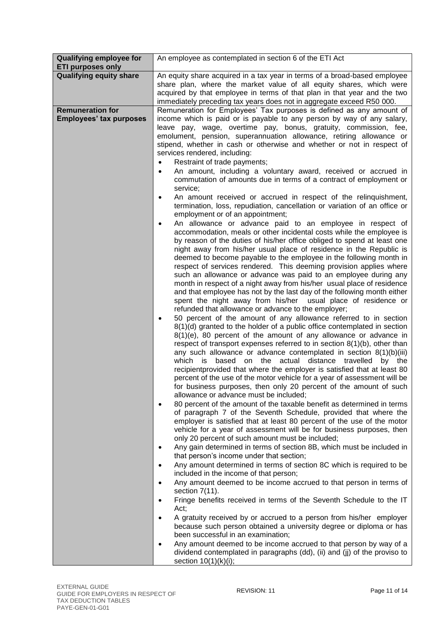| <b>Qualifying employee for</b><br><b>ETI purposes only</b> | An employee as contemplated in section 6 of the ETI Act                                                                                                                                                                                                                                                                                                                                                                                                                                                                                                                                                                                                                                                                                                                                                                                                                                                                                                                                                                                                                                                                                                                                                                                                                                                                                                                                                                                                                                                                                                                                                                                                                                                                                                                                                                                                                                                                                                                                                                                                                                                                                                                                                                                                                                                                                                                                                                                                                                                                                                                                                                                                                                                                                                                                                                           |
|------------------------------------------------------------|-----------------------------------------------------------------------------------------------------------------------------------------------------------------------------------------------------------------------------------------------------------------------------------------------------------------------------------------------------------------------------------------------------------------------------------------------------------------------------------------------------------------------------------------------------------------------------------------------------------------------------------------------------------------------------------------------------------------------------------------------------------------------------------------------------------------------------------------------------------------------------------------------------------------------------------------------------------------------------------------------------------------------------------------------------------------------------------------------------------------------------------------------------------------------------------------------------------------------------------------------------------------------------------------------------------------------------------------------------------------------------------------------------------------------------------------------------------------------------------------------------------------------------------------------------------------------------------------------------------------------------------------------------------------------------------------------------------------------------------------------------------------------------------------------------------------------------------------------------------------------------------------------------------------------------------------------------------------------------------------------------------------------------------------------------------------------------------------------------------------------------------------------------------------------------------------------------------------------------------------------------------------------------------------------------------------------------------------------------------------------------------------------------------------------------------------------------------------------------------------------------------------------------------------------------------------------------------------------------------------------------------------------------------------------------------------------------------------------------------------------------------------------------------------------------------------------------------|
| <b>Qualifying equity share</b>                             | An equity share acquired in a tax year in terms of a broad-based employee                                                                                                                                                                                                                                                                                                                                                                                                                                                                                                                                                                                                                                                                                                                                                                                                                                                                                                                                                                                                                                                                                                                                                                                                                                                                                                                                                                                                                                                                                                                                                                                                                                                                                                                                                                                                                                                                                                                                                                                                                                                                                                                                                                                                                                                                                                                                                                                                                                                                                                                                                                                                                                                                                                                                                         |
|                                                            | share plan, where the market value of all equity shares, which were                                                                                                                                                                                                                                                                                                                                                                                                                                                                                                                                                                                                                                                                                                                                                                                                                                                                                                                                                                                                                                                                                                                                                                                                                                                                                                                                                                                                                                                                                                                                                                                                                                                                                                                                                                                                                                                                                                                                                                                                                                                                                                                                                                                                                                                                                                                                                                                                                                                                                                                                                                                                                                                                                                                                                               |
|                                                            | acquired by that employee in terms of that plan in that year and the two                                                                                                                                                                                                                                                                                                                                                                                                                                                                                                                                                                                                                                                                                                                                                                                                                                                                                                                                                                                                                                                                                                                                                                                                                                                                                                                                                                                                                                                                                                                                                                                                                                                                                                                                                                                                                                                                                                                                                                                                                                                                                                                                                                                                                                                                                                                                                                                                                                                                                                                                                                                                                                                                                                                                                          |
|                                                            | immediately preceding tax years does not in aggregate exceed R50 000.                                                                                                                                                                                                                                                                                                                                                                                                                                                                                                                                                                                                                                                                                                                                                                                                                                                                                                                                                                                                                                                                                                                                                                                                                                                                                                                                                                                                                                                                                                                                                                                                                                                                                                                                                                                                                                                                                                                                                                                                                                                                                                                                                                                                                                                                                                                                                                                                                                                                                                                                                                                                                                                                                                                                                             |
| <b>Remuneration for</b><br><b>Employees' tax purposes</b>  | Remuneration for Employees' Tax purposes is defined as any amount of<br>income which is paid or is payable to any person by way of any salary,<br>leave pay, wage, overtime pay, bonus, gratuity, commission, fee,<br>emolument, pension, superannuation allowance, retiring allowance or<br>stipend, whether in cash or otherwise and whether or not in respect of<br>services rendered, including:<br>Restraint of trade payments;<br>An amount, including a voluntary award, received or accrued in<br>commutation of amounts due in terms of a contract of employment or<br>service;<br>An amount received or accrued in respect of the relinquishment,<br>$\bullet$                                                                                                                                                                                                                                                                                                                                                                                                                                                                                                                                                                                                                                                                                                                                                                                                                                                                                                                                                                                                                                                                                                                                                                                                                                                                                                                                                                                                                                                                                                                                                                                                                                                                                                                                                                                                                                                                                                                                                                                                                                                                                                                                                          |
|                                                            | termination, loss, repudiation, cancellation or variation of an office or<br>employment or of an appointment;<br>An allowance or advance paid to an employee in respect of<br>٠<br>accommodation, meals or other incidental costs while the employee is<br>by reason of the duties of his/her office obliged to spend at least one<br>night away from his/her usual place of residence in the Republic is<br>deemed to become payable to the employee in the following month in<br>respect of services rendered. This deeming provision applies where<br>such an allowance or advance was paid to an employee during any<br>month in respect of a night away from his/her usual place of residence<br>and that employee has not by the last day of the following month either<br>spent the night away from his/her usual place of residence or<br>refunded that allowance or advance to the employer;<br>50 percent of the amount of any allowance referred to in section<br>8(1)(d) granted to the holder of a public office contemplated in section<br>$8(1)(e)$ , 80 percent of the amount of any allowance or advance in<br>respect of transport expenses referred to in section 8(1)(b), other than<br>any such allowance or advance contemplated in section $8(1)(b)(iii)$<br>which is based on the actual distance travelled by the<br>recipientprovided that where the employer is satisfied that at least 80<br>percent of the use of the motor vehicle for a year of assessment will be<br>for business purposes, then only 20 percent of the amount of such<br>allowance or advance must be included;<br>80 percent of the amount of the taxable benefit as determined in terms<br>$\bullet$<br>of paragraph 7 of the Seventh Schedule, provided that where the<br>employer is satisfied that at least 80 percent of the use of the motor<br>vehicle for a year of assessment will be for business purposes, then<br>only 20 percent of such amount must be included;<br>Any gain determined in terms of section 8B, which must be included in<br>$\bullet$<br>that person's income under that section;<br>Any amount determined in terms of section 8C which is required to be<br>$\bullet$<br>included in the income of that person;<br>Any amount deemed to be income accrued to that person in terms of<br>$\bullet$<br>section $7(11)$ .<br>Fringe benefits received in terms of the Seventh Schedule to the IT<br>$\bullet$<br>Act;<br>A gratuity received by or accrued to a person from his/her employer<br>$\bullet$<br>because such person obtained a university degree or diploma or has<br>been successful in an examination;<br>Any amount deemed to be income accrued to that person by way of a<br>dividend contemplated in paragraphs (dd), (ii) and (jj) of the proviso to<br>section $10(1)(k)(i)$ ; |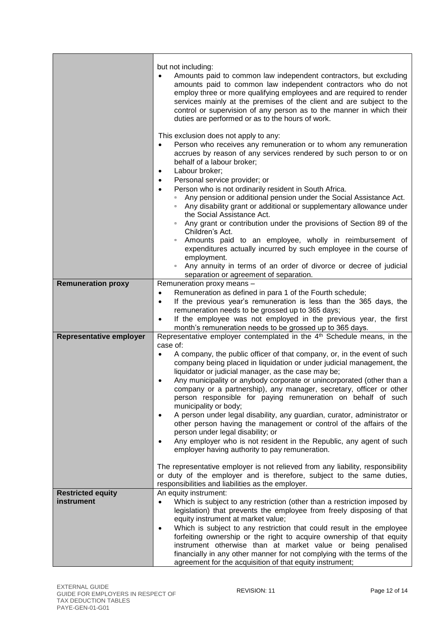|                                        | but not including:<br>Amounts paid to common law independent contractors, but excluding<br>amounts paid to common law independent contractors who do not<br>employ three or more qualifying employees and are required to render<br>services mainly at the premises of the client and are subject to the<br>control or supervision of any person as to the manner in which their<br>duties are performed or as to the hours of work.                                                                                                                                                                        |
|----------------------------------------|-------------------------------------------------------------------------------------------------------------------------------------------------------------------------------------------------------------------------------------------------------------------------------------------------------------------------------------------------------------------------------------------------------------------------------------------------------------------------------------------------------------------------------------------------------------------------------------------------------------|
|                                        | This exclusion does not apply to any:<br>Person who receives any remuneration or to whom any remuneration<br>$\bullet$<br>accrues by reason of any services rendered by such person to or on<br>behalf of a labour broker;<br>Labour broker;<br>$\bullet$                                                                                                                                                                                                                                                                                                                                                   |
|                                        | Personal service provider; or<br>٠<br>Person who is not ordinarily resident in South Africa.<br>$\bullet$<br>Any pension or additional pension under the Social Assistance Act.<br>$\Box$<br>Any disability grant or additional or supplementary allowance under<br>the Social Assistance Act.<br>Any grant or contribution under the provisions of Section 89 of the<br>Children's Act.<br>Amounts paid to an employee, wholly in reimbursement of<br>expenditures actually incurred by such employee in the course of<br>employment.<br>Any annuity in terms of an order of divorce or decree of judicial |
| <b>Remuneration proxy</b>              | separation or agreement of separation.<br>Remuneration proxy means -                                                                                                                                                                                                                                                                                                                                                                                                                                                                                                                                        |
|                                        | Remuneration as defined in para 1 of the Fourth schedule;<br>$\bullet$                                                                                                                                                                                                                                                                                                                                                                                                                                                                                                                                      |
|                                        | If the previous year's remuneration is less than the 365 days, the<br>$\bullet$                                                                                                                                                                                                                                                                                                                                                                                                                                                                                                                             |
|                                        | remuneration needs to be grossed up to 365 days;<br>If the employee was not employed in the previous year, the first<br>$\bullet$                                                                                                                                                                                                                                                                                                                                                                                                                                                                           |
|                                        | month's remuneration needs to be grossed up to 365 days.                                                                                                                                                                                                                                                                                                                                                                                                                                                                                                                                                    |
| <b>Representative employer</b>         | Representative employer contemplated in the 4 <sup>th</sup> Schedule means, in the                                                                                                                                                                                                                                                                                                                                                                                                                                                                                                                          |
|                                        | case of:<br>A company, the public officer of that company, or, in the event of such<br>$\bullet$<br>company being placed in liquidation or under judicial management, the<br>liquidator or judicial manager, as the case may be;<br>Any municipality or anybody corporate or unincorporated (other than a<br>$\bullet$<br>company or a partnership), any manager, secretary, officer or other<br>person responsible for paying remuneration on behalf of such<br>municipality or body;<br>A person under legal disability, any guardian, curator, administrator or<br>$\bullet$                             |
|                                        | other person having the management or control of the affairs of the<br>person under legal disability; or<br>Any employer who is not resident in the Republic, any agent of such<br>$\bullet$<br>employer having authority to pay remuneration.                                                                                                                                                                                                                                                                                                                                                              |
|                                        | The representative employer is not relieved from any liability, responsibility<br>or duty of the employer and is therefore, subject to the same duties,<br>responsibilities and liabilities as the employer.                                                                                                                                                                                                                                                                                                                                                                                                |
| <b>Restricted equity</b><br>instrument | An equity instrument:<br>Which is subject to any restriction (other than a restriction imposed by<br>$\bullet$<br>legislation) that prevents the employee from freely disposing of that<br>equity instrument at market value;<br>Which is subject to any restriction that could result in the employee<br>$\bullet$<br>forfeiting ownership or the right to acquire ownership of that equity<br>instrument otherwise than at market value or being penalised<br>financially in any other manner for not complying with the terms of the<br>agreement for the acquisition of that equity instrument;         |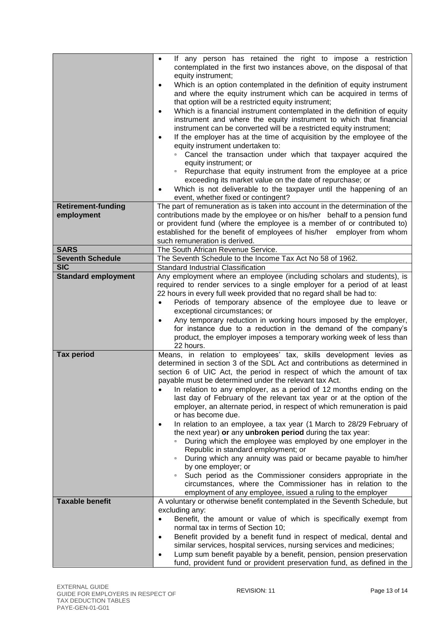|                                         | If any person has retained the right to impose a restriction<br>$\bullet$<br>contemplated in the first two instances above, on the disposal of that<br>equity instrument;<br>Which is an option contemplated in the definition of equity instrument<br>$\bullet$<br>and where the equity instrument which can be acquired in terms of<br>that option will be a restricted equity instrument;<br>Which is a financial instrument contemplated in the definition of equity<br>$\bullet$<br>instrument and where the equity instrument to which that financial<br>instrument can be converted will be a restricted equity instrument;<br>If the employer has at the time of acquisition by the employee of the<br>$\bullet$<br>equity instrument undertaken to:<br>Cancel the transaction under which that taxpayer acquired the |
|-----------------------------------------|-------------------------------------------------------------------------------------------------------------------------------------------------------------------------------------------------------------------------------------------------------------------------------------------------------------------------------------------------------------------------------------------------------------------------------------------------------------------------------------------------------------------------------------------------------------------------------------------------------------------------------------------------------------------------------------------------------------------------------------------------------------------------------------------------------------------------------|
|                                         | equity instrument; or                                                                                                                                                                                                                                                                                                                                                                                                                                                                                                                                                                                                                                                                                                                                                                                                         |
|                                         | • Repurchase that equity instrument from the employee at a price<br>exceeding its market value on the date of repurchase; or                                                                                                                                                                                                                                                                                                                                                                                                                                                                                                                                                                                                                                                                                                  |
|                                         | Which is not deliverable to the taxpayer until the happening of an<br>٠                                                                                                                                                                                                                                                                                                                                                                                                                                                                                                                                                                                                                                                                                                                                                       |
|                                         | event, whether fixed or contingent?                                                                                                                                                                                                                                                                                                                                                                                                                                                                                                                                                                                                                                                                                                                                                                                           |
| <b>Retirement-funding</b><br>employment | The part of remuneration as is taken into account in the determination of the<br>contributions made by the employee or on his/her behalf to a pension fund                                                                                                                                                                                                                                                                                                                                                                                                                                                                                                                                                                                                                                                                    |
|                                         | or provident fund (where the employee is a member of or contributed to)                                                                                                                                                                                                                                                                                                                                                                                                                                                                                                                                                                                                                                                                                                                                                       |
|                                         | established for the benefit of employees of his/her employer from whom<br>such remuneration is derived.                                                                                                                                                                                                                                                                                                                                                                                                                                                                                                                                                                                                                                                                                                                       |
| <b>SARS</b>                             | The South African Revenue Service.                                                                                                                                                                                                                                                                                                                                                                                                                                                                                                                                                                                                                                                                                                                                                                                            |
| <b>Seventh Schedule</b>                 | The Seventh Schedule to the Income Tax Act No 58 of 1962.                                                                                                                                                                                                                                                                                                                                                                                                                                                                                                                                                                                                                                                                                                                                                                     |
| <b>SIC</b>                              | Standard Industrial Classification<br>Any employment where an employee (including scholars and students), is                                                                                                                                                                                                                                                                                                                                                                                                                                                                                                                                                                                                                                                                                                                  |
| <b>Standard employment</b>              | required to render services to a single employer for a period of at least<br>22 hours in every full week provided that no regard shall be had to:<br>Periods of temporary absence of the employee due to leave or<br>$\bullet$<br>exceptional circumstances; or<br>Any temporary reduction in working hours imposed by the employer,<br>$\bullet$<br>for instance due to a reduction in the demand of the company's<br>product, the employer imposes a temporary working week of less than<br>22 hours.                                                                                                                                                                                                                                                                                                                       |
| <b>Tax period</b>                       | Means, in relation to employees' tax, skills development levies as<br>determined in section 3 of the SDL Act and contributions as determined in<br>section 6 of UIC Act, the period in respect of which the amount of tax<br>payable must be determined under the relevant tax Act.<br>In relation to any employer, as a period of 12 months ending on the<br>$\bullet$<br>last day of February of the relevant tax year or at the option of the                                                                                                                                                                                                                                                                                                                                                                              |
|                                         | employer, an alternate period, in respect of which remuneration is paid<br>or has become due.                                                                                                                                                                                                                                                                                                                                                                                                                                                                                                                                                                                                                                                                                                                                 |
|                                         | In relation to an employee, a tax year (1 March to 28/29 February of<br>$\bullet$<br>the next year) or any unbroken period during the tax year:                                                                                                                                                                                                                                                                                                                                                                                                                                                                                                                                                                                                                                                                               |
|                                         | During which the employee was employed by one employer in the<br>Republic in standard employment; or                                                                                                                                                                                                                                                                                                                                                                                                                                                                                                                                                                                                                                                                                                                          |
|                                         | During which any annuity was paid or became payable to him/her<br>by one employer; or                                                                                                                                                                                                                                                                                                                                                                                                                                                                                                                                                                                                                                                                                                                                         |
|                                         | Such period as the Commissioner considers appropriate in the<br>$\Box$<br>circumstances, where the Commissioner has in relation to the<br>employment of any employee, issued a ruling to the employer                                                                                                                                                                                                                                                                                                                                                                                                                                                                                                                                                                                                                         |
| <b>Taxable benefit</b>                  | A voluntary or otherwise benefit contemplated in the Seventh Schedule, but                                                                                                                                                                                                                                                                                                                                                                                                                                                                                                                                                                                                                                                                                                                                                    |
|                                         | excluding any:<br>Benefit, the amount or value of which is specifically exempt from<br>$\bullet$                                                                                                                                                                                                                                                                                                                                                                                                                                                                                                                                                                                                                                                                                                                              |
|                                         | normal tax in terms of Section 10;                                                                                                                                                                                                                                                                                                                                                                                                                                                                                                                                                                                                                                                                                                                                                                                            |
|                                         | Benefit provided by a benefit fund in respect of medical, dental and<br>$\bullet$                                                                                                                                                                                                                                                                                                                                                                                                                                                                                                                                                                                                                                                                                                                                             |
|                                         | similar services, hospital services, nursing services and medicines;<br>Lump sum benefit payable by a benefit, pension, pension preservation                                                                                                                                                                                                                                                                                                                                                                                                                                                                                                                                                                                                                                                                                  |
|                                         | $\bullet$<br>fund, provident fund or provident preservation fund, as defined in the                                                                                                                                                                                                                                                                                                                                                                                                                                                                                                                                                                                                                                                                                                                                           |